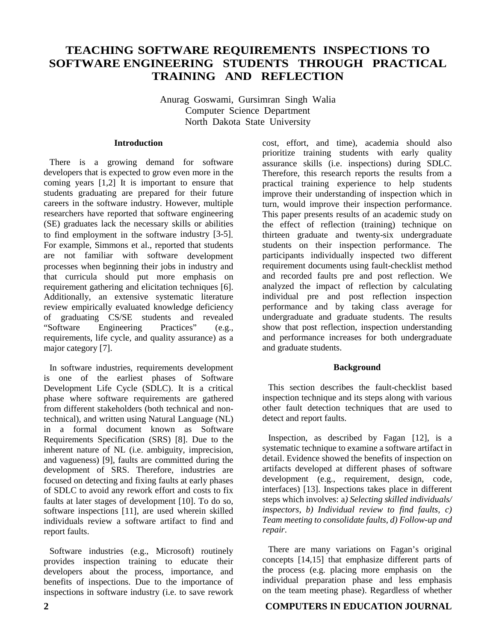# **TEACHING SOFTWARE REQUIREMENTS INSPECTIONS TO SOFTWARE ENGINEERING STUDENTS THROUGH PRACTICAL TRAINING AND REFLECTION**

Anurag Goswami, Gursimran Singh Walia Computer Science Department North Dakota State University

## **Introduction**

There is a growing demand for software developers that is expected to grow even more in the coming years [1,2] It is important to ensure that students graduating are prepared for their future careers in the software industry. However, multiple researchers have reported that software engineering (SE) graduates lack the necessary skills or abilities to find employment in the software industry [3-5]. For example, Simmons et al., reported that students are not familiar with software development processes when beginning their jobs in industry and that curricula should put more emphasis on requirement gathering and elicitation techniques [6]. Additionally, an extensive systematic literature review empirically evaluated knowledge deficiency of graduating CS/SE students and revealed "Software Engineering Practices" (e.g., requirements, life cycle, and quality assurance) as a major category [7].

In software industries, requirements development is one of the earliest phases of Software Development Life Cycle (SDLC). It is a critical phase where software requirements are gathered from different stakeholders (both technical and nontechnical), and written using Natural Language (NL) in a formal document known as Software Requirements Specification (SRS) [8]. Due to the inherent nature of NL (i.e. ambiguity, imprecision, and vagueness) [9], faults are committed during the development of SRS. Therefore, industries are focused on detecting and fixing faults at early phases of SDLC to avoid any rework effort and costs to fix faults at later stages of development [10]. To do so, software inspections [11], are used wherein skilled individuals review a software artifact to find and report faults.

Software industries (e.g., Microsoft) routinely provides inspection training to educate their developers about the process, importance, and benefits of inspections. Due to the importance of inspections in software industry (i.e. to save rework

cost, effort, and time), academia should also prioritize training students with early quality assurance skills (i.e. inspections) during SDLC. Therefore, this research reports the results from a practical training experience to help students improve their understanding of inspection which in turn, would improve their inspection performance. This paper presents results of an academic study on the effect of reflection (training) technique on thirteen graduate and twenty-six undergraduate students on their inspection performance. The participants individually inspected two different requirement documents using fault-checklist method and recorded faults pre and post reflection. We analyzed the impact of reflection by calculating individual pre and post reflection inspection performance and by taking class average for undergraduate and graduate students. The results show that post reflection, inspection understanding and performance increases for both undergraduate and graduate students.

## **Background**

This section describes the fault-checklist based inspection technique and its steps along with various other fault detection techniques that are used to detect and report faults.

Inspection, as described by Fagan [12], is a systematic technique to examine a software artifact in detail. Evidence showed the benefits of inspection on artifacts developed at different phases of software development (e.g., requirement, design, code, interfaces) [13]. Inspections takes place in different steps which involves: a*) Selecting skilled individuals/ inspectors, b) Individual review to find faults, c) Team meeting to consolidate faults, d) Follow-up and repair*.

There are many variations on Fagan's original concepts [14,15] that emphasize different parts of the process (e.g. placing more emphasis on the individual preparation phase and less emphasis on the team meeting phase). Regardless of whether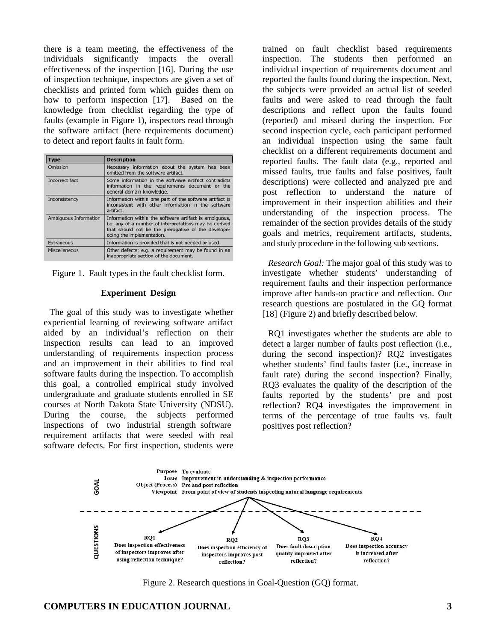there is a team meeting, the effectiveness of the individuals significantly impacts the overall effectiveness of the inspection [16]. During the use of inspection technique, inspectors are given a set of checklists and printed form which guides them on how to perform inspection [17]. Based on the knowledge from checklist regarding the type of faults (example in Figure 1), inspectors read through the software artifact (here requirements document) to detect and report faults in fault form.

| <b>Type</b>           | <b>Description</b>                                                                                                                                                                                   |  |  |  |  |  |
|-----------------------|------------------------------------------------------------------------------------------------------------------------------------------------------------------------------------------------------|--|--|--|--|--|
| Omission              | Necessary information about the system has been<br>omitted from the software artifact.                                                                                                               |  |  |  |  |  |
| Incorrect fact        | Some information in the software artifact contradicts<br>information in the requirements document or the<br>general domain knowledge.                                                                |  |  |  |  |  |
| Inconsistency         | Information within one part of the software artifact is<br>inconsistent with other information in the software<br>artifact.                                                                          |  |  |  |  |  |
| Ambiguous Information | Information within the software artifact is ambiguous,<br>i.e. any of a number of interpretations may be derived<br>that should not be the prerogative of the developer<br>doing the implementation. |  |  |  |  |  |
| <b>Extraneous</b>     | Information is provided that is not needed or used.                                                                                                                                                  |  |  |  |  |  |
| Miscellaneous         | Other defects; e.g. a requirement may be found in an<br>inappropriate section of the document.                                                                                                       |  |  |  |  |  |

Figure 1. Fault types in the fault checklist form.

#### **Experiment Design**

The goal of this study was to investigate whether experiential learning of reviewing software artifact aided by an individual's reflection on their inspection results can lead to an improved understanding of requirements inspection process and an improvement in their abilities to find real software faults during the inspection. To accomplish this goal, a controlled empirical study involved undergraduate and graduate students enrolled in SE courses at North Dakota State University (NDSU). During the course, the subjects performed inspections of two industrial strength software requirement artifacts that were seeded with real software defects. For first inspection, students were

trained on fault checklist based requirements inspection. The students then performed an individual inspection of requirements document and reported the faults found during the inspection. Next, the subjects were provided an actual list of seeded faults and were asked to read through the fault descriptions and reflect upon the faults found (reported) and missed during the inspection. For second inspection cycle, each participant performed an individual inspection using the same fault checklist on a different requirements document and reported faults. The fault data (e.g., reported and missed faults, true faults and false positives, fault descriptions) were collected and analyzed pre and post reflection to understand the nature of improvement in their inspection abilities and their understanding of the inspection process. The remainder of the section provides details of the study goals and metrics, requirement artifacts, students, and study procedure in the following sub sections.

*Research Goal:* The major goal of this study was to investigate whether students' understanding of requirement faults and their inspection performance improve after hands-on practice and reflection. Our research questions are postulated in the GQ format [18] (Figure 2) and briefly described below.

RQ1 investigates whether the students are able to detect a larger number of faults post reflection (i.e., during the second inspection)? RQ2 investigates whether students' find faults faster (i.e., increase in fault rate) during the second inspection? Finally, RQ3 evaluates the quality of the description of the faults reported by the students' pre and post reflection? RQ4 investigates the improvement in terms of the percentage of true faults vs. fault positives post reflection?



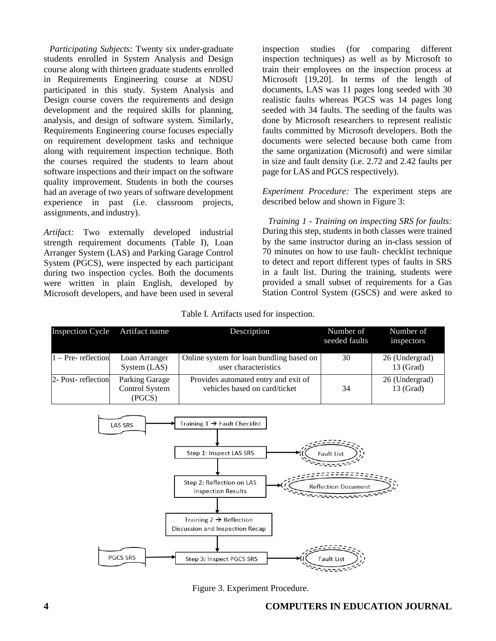*Participating Subjects:* Twenty six under-graduate students enrolled in System Analysis and Design course along with thirteen graduate students enrolled in Requirements Engineering course at NDSU participated in this study. System Analysis and Design course covers the requirements and design development and the required skills for planning, analysis, and design of software system. Similarly, Requirements Engineering course focuses especially on requirement development tasks and technique along with requirement inspection technique. Both the courses required the students to learn about software inspections and their impact on the software quality improvement. Students in both the courses had an average of two years of software development experience in past (i.e. classroom projects, assignments, and industry).

*Artifact:* Two externally developed industrial strength requirement documents (Table I), Loan Arranger System (LAS) and Parking Garage Control System (PGCS), were inspected by each participant during two inspection cycles. Both the documents were written in plain English, developed by Microsoft developers, and have been used in several

inspection studies (for comparing different inspection techniques) as well as by Microsoft to train their employees on the inspection process at Microsoft [19,20]. In terms of the length of documents, LAS was 11 pages long seeded with 30 realistic faults whereas PGCS was 14 pages long seeded with 34 faults. The seeding of the faults was done by Microsoft researchers to represent realistic faults committed by Microsoft developers. Both the documents were selected because both came from the same organization (Microsoft) and were similar in size and fault density (i.e. 2.72 and 2.42 faults per page for LAS and PGCS respectively).

*Experiment Procedure:* The experiment steps are described below and shown in Figure 3:

*Training 1 - Training on inspecting SRS for faults:* During this step, students in both classes were trained by the same instructor during an in-class session of 70 minutes on how to use fault- checklist technique to detect and report different types of faults in SRS in a fault list. During the training, students were provided a small subset of requirements for a Gas Station Control System (GSCS) and were asked to

Table I. Artifacts used for inspection.

|                       |                                            |                                                                                                                                                                                                                              | seeded faults                                                        | inspectors                  |
|-----------------------|--------------------------------------------|------------------------------------------------------------------------------------------------------------------------------------------------------------------------------------------------------------------------------|----------------------------------------------------------------------|-----------------------------|
| $1 - Pre$ -reflection | Loan Arranger<br>System (LAS)              | Online system for loan bundling based on<br>user characteristics                                                                                                                                                             | 30                                                                   | 26 (Undergrad)<br>13 (Grad) |
| 2- Post-reflection    | Parking Garage<br>Control System<br>(PGCS) | Provides automated entry and exit of<br>vehicles based on card/ticket                                                                                                                                                        | 34                                                                   | 26 (Undergrad)<br>13 (Grad) |
|                       | LAS SRS<br><b>PGCS SRS</b>                 | Training $1 \rightarrow$ Fault Checklist<br>Step 1: Inspect LAS SRS<br>Step 2: Reflection on LAS<br>inspection Results<br>Training $2 \rightarrow$ Reflection<br>Discussion and Inspection Recap<br>Step 3: Inspect PGCS SRS | <b>Fault List</b><br><b>Reflection Document</b><br><b>Fault List</b> |                             |

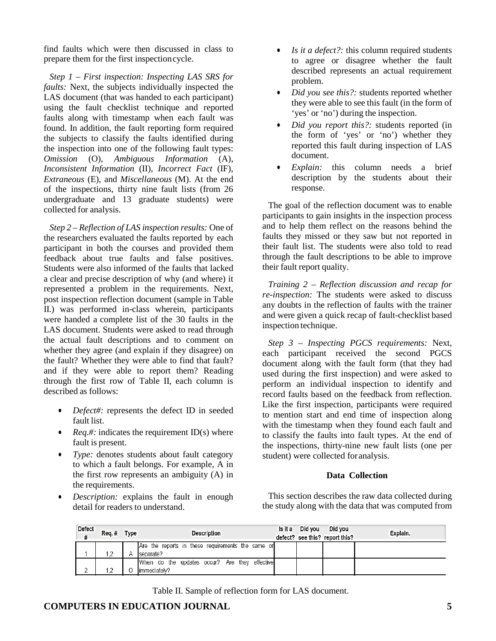find faults which were then discussed in class to prepare them for the first inspectioncycle.

*Step 1 – First inspection: Inspecting LAS SRS for faults:* Next, the subjects individually inspected the LAS document (that was handed to each participant) using the fault checklist technique and reported faults along with timestamp when each fault was found. In addition, the fault reporting form required the subjects to classify the faults identified during the inspection into one of the following fault types: *Omission* (O), *Ambiguous Information* (A), *Inconsistent Information* (II), *Incorrect Fact* (IF), *Extraneous* (E), and *Miscellaneous* (M). At the end of the inspections, thirty nine fault lists (from 26 undergraduate and 13 graduate students) were collected for analysis.

*Step 2 – Reflection of LAS inspection results:* One of the researchers evaluated the faults reported by each participant in both the courses and provided them feedback about true faults and false positives. Students were also informed of the faults that lacked a clear and precise description of why (and where) it represented a problem in the requirements. Next, post inspection reflection document (sample in Table II.) was performed in-class wherein, participants were handed a complete list of the 30 faults in the LAS document. Students were asked to read through the actual fault descriptions and to comment on whether they agree (and explain if they disagree) on the fault? Whether they were able to find that fault? and if they were able to report them? Reading through the first row of Table II, each column is described as follows:

- *Defect#:* represents the defect ID in seeded fault list.
- *Req.#*: indicates the requirement ID(s) where fault is present.
- *Type:* denotes students about fault category to which a fault belongs. For example, A in the first row represents an ambiguity (A) in the requirements.
- *Description:* explains the fault in enough detail for readers to understand.
- *Is it a defect?:* this column required students to agree or disagree whether the fault described represents an actual requirement problem.
- *Did you see this?:* students reported whether they were able to see this fault (in the form of 'yes' or 'no') during the inspection.
- *Did you report this?:* students reported (in the form of 'yes' or 'no') whether they reported this fault during inspection of LAS document.
- *Explain:* this column needs a brief description by the students about their response.

The goal of the reflection document was to enable participants to gain insights in the inspection process and to help them reflect on the reasons behind the faults they missed or they saw but not reported in their fault list. The students were also told to read through the fault descriptions to be able to improve their fault report quality.

*Training 2 – Reflection discussion and recap for re-inspection:* The students were asked to discuss any doubts in the reflection of faults with the trainer and were given a quick recap of fault-checklist based inspection technique.

*Step 3 – Inspecting PGCS requirements:* Next, each participant received the second PGCS document along with the fault form (that they had used during the first inspection) and were asked to perform an individual inspection to identify and record faults based on the feedback from reflection. Like the first inspection, participants were required to mention start and end time of inspection along with the timestamp when they found each fault and to classify the faults into fault types. At the end of the inspections, thirty-nine new fault lists (one per student) were collected foranalysis.

#### **Data Collection**

This section describes the raw data collected during the study along with the data that was computed from

| Defect<br># | Req.# | <b>Type</b> | <b>Description</b>                                | Isita | Did you | Did you<br>defect? see this? report this? | Explain. |
|-------------|-------|-------------|---------------------------------------------------|-------|---------|-------------------------------------------|----------|
|             |       |             | Are the reports in these requirements the same or |       |         |                                           |          |
|             | 1.2   |             | separate?                                         |       |         |                                           |          |
|             |       |             | When do the updates occur? Are they effective     |       |         |                                           |          |
|             | 1.2   |             | limmediately?                                     |       |         |                                           |          |

Table II. Sample of reflection form for LAS document.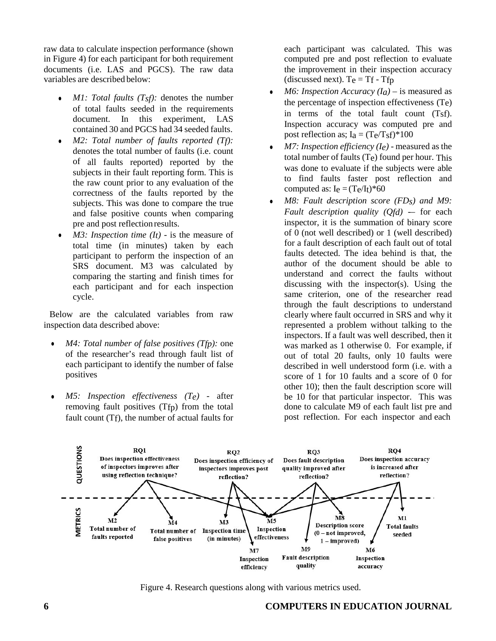raw data to calculate inspection performance (shown in Figure 4) for each participant for both requirement documents (i.e. LAS and PGCS). The raw data variables are described below:

- *M1: Total faults (Tsf):* denotes the number of total faults seeded in the requirements document. In this experiment, LAS contained 30 and PGCS had 34 seeded faults.
- *M2: Total number of faults reported (Tf):* denotes the total number of faults (i.e. count of all faults reported) reported by the subjects in their fault reporting form. This is the raw count prior to any evaluation of the correctness of the faults reported by the subjects. This was done to compare the true and false positive counts when comparing pre and post reflection results.
- *M3: Inspection time*  $(I_t)$  *is the measure of* total time (in minutes) taken by each participant to perform the inspection of an SRS document. M3 was calculated by comparing the starting and finish times for each participant and for each inspection cycle.

Below are the calculated variables from raw inspection data described above:

- *M4: Total number of false positives (Tfp):* one of the researcher's read through fault list of each participant to identify the number of false positives
- *M5: Inspection effectiveness (Te)* after removing fault positives (Tfp) from the total fault count (Tf), the number of actual faults for

each participant was calculated. This was computed pre and post reflection to evaluate the improvement in their inspection accuracy (discussed next). Te =  $Tf - Tfp$ 

- *M6: Inspection Accuracy*  $(I_a)$  is measured as the percentage of inspection effectiveness (Te) in terms of the total fault count  $(T<sub>sf</sub>)$ . Inspection accuracy was computed pre and post reflection as;  $I_a = (T_e/T_s f)^* 100$
- *M7: Inspection efficiency (Ie)* measured as the total number of faults  $(T_e)$  found per hour. This was done to evaluate if the subjects were able to find faults faster post reflection and computed as:  $I_e = (T_e/I_t)^* 60$
- *M8: Fault description score (FDs) and M9: Fault description quality (Qfd)* -– for each inspector, it is the summation of binary score of 0 (not well described) or 1 (well described) for a fault description of each fault out of total faults detected. The idea behind is that, the author of the document should be able to understand and correct the faults without discussing with the inspector(s). Using the same criterion, one of the researcher read through the fault descriptions to understand clearly where fault occurred in SRS and why it represented a problem without talking to the inspectors. If a fault was well described, then it was marked as 1 otherwise 0. For example, if out of total 20 faults, only 10 faults were described in well understood form (i.e. with a score of 1 for 10 faults and a score of 0 for other 10); then the fault description score will be 10 for that particular inspector. This was done to calculate M9 of each fault list pre and post reflection. For each inspector and each



Figure 4. Research questions along with various metrics used.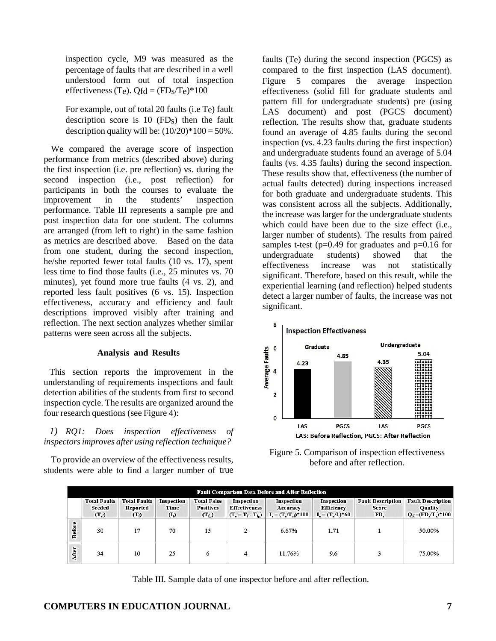inspection cycle, M9 was measured as the percentage of faults that are described in a well understood form out of total inspection effectiveness (T<sub>e</sub>). Qfd =  $(FD<sub>S</sub>/T<sub>e</sub>)$ \*100

For example, out of total 20 faults (i.e Te) fault description score is 10 (FDs) then the fault description quality will be:  $(10/20)*100 = 50\%$ .

We compared the average score of inspection performance from metrics (described above) during the first inspection (i.e. pre reflection) vs. during the second inspection (i.e., post reflection) for participants in both the courses to evaluate the improvement in the students' inspection performance. Table III represents a sample pre and post inspection data for one student. The columns are arranged (from left to right) in the same fashion as metrics are described above. Based on the data from one student, during the second inspection, he/she reported fewer total faults (10 vs. 17), spent less time to find those faults (i.e., 25 minutes vs. 70 minutes), yet found more true faults (4 vs. 2), and reported less fault positives (6 vs. 15). Inspection effectiveness, accuracy and efficiency and fault descriptions improved visibly after training and reflection. The next section analyzes whether similar patterns were seen across all the subjects.

#### **Analysis and Results**

This section reports the improvement in the understanding of requirements inspections and fault detection abilities of the students from first to second inspection cycle. The results are organized around the four research questions (see Figure 4):

*1) RQ1: Does inspection effectiveness of inspectorsimproves after using reflection technique?*

To provide an overview of the effectiveness results, students were able to find a larger number of true faults (Te) during the second inspection (PGCS) as compared to the first inspection (LAS document). Figure 5 compares the average inspection effectiveness (solid fill for graduate students and pattern fill for undergraduate students) pre (using LAS document) and post (PGCS document) reflection. The results show that, graduate students found an average of 4.85 faults during the second inspection (vs. 4.23 faults during the first inspection) and undergraduate students found an average of 5.04 faults (vs. 4.35 faults) during the second inspection. These results show that, effectiveness (the number of actual faults detected) during inspections increased for both graduate and undergraduate students. This was consistent across all the subjects. Additionally, the increase was larger for the undergraduate students which could have been due to the size effect (i.e., larger number of students). The results from paired samples t-test ( $p=0.49$  for graduates and  $p=0.16$  for undergraduate students) showed that the effectiveness increase was not statistically significant. Therefore, based on this result, while the experiential learning (and reflection) helped students detect a larger number of faults, the increase was not significant.



Figure 5. Comparison of inspection effectiveness before and after reflection.

|               | <b>Fault Comparison Data Before and After Reflection</b> |                                            |                                             |                                                          |                                                                     |                                                     |                                                           |                                                      |                                                                   |
|---------------|----------------------------------------------------------|--------------------------------------------|---------------------------------------------|----------------------------------------------------------|---------------------------------------------------------------------|-----------------------------------------------------|-----------------------------------------------------------|------------------------------------------------------|-------------------------------------------------------------------|
|               | <b>Total Faults</b><br><b>Seeded</b><br>$(T_{\rm sf})$   | <b>Total Faults</b><br>Reported<br>$(T_i)$ | Inspection<br>Time<br>$\mathbf{I}_{\theta}$ | <b>Total False</b><br><b>Positives</b><br>$(T_{\rm fb})$ | <b>Inspection</b><br><b>Effectiveness</b><br>$(T_e = T_f - T_{fn})$ | Inspection<br>Accuracy<br>$I_a = (T_e/T_{s0})^*100$ | Inspection<br><b>Efficiency</b><br>$I_e = (T_e/I_t)^* 60$ | <b>Fault Description</b><br>Score<br>FD <sub>s</sub> | <b>Fault Description</b><br>Quality<br>$Q_{fd} = (FD_s/T_s)^*100$ |
| <b>Before</b> | 30                                                       | 17                                         | 70                                          | 15                                                       | 2                                                                   | 6.67%                                               | 1.71                                                      |                                                      | 50.00%                                                            |
| After         | 34                                                       | 10                                         | 25                                          | 6                                                        | 4                                                                   | 11.76%                                              | 9.6                                                       |                                                      | 75.00%                                                            |

Table III. Sample data of one inspector before and after reflection.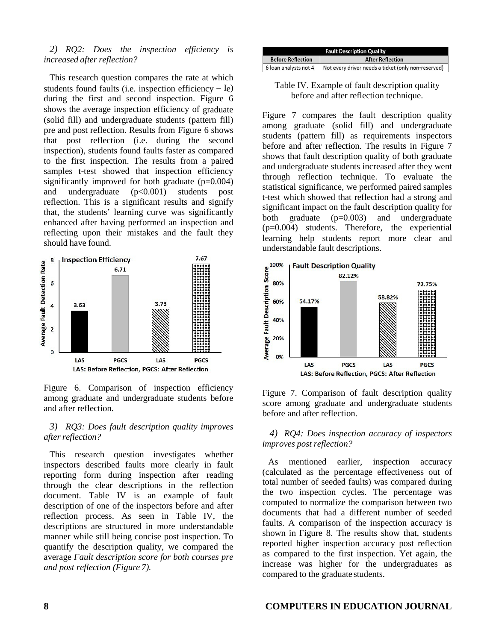### *2) RQ2: Does the inspection efficiency is increased after reflection?*

This research question compares the rate at which students found faults (i.e. inspection efficiency  $-$  Ie) during the first and second inspection. Figure 6 shows the average inspection efficiency of graduate (solid fill) and undergraduate students (pattern fill) pre and post reflection. Results from Figure 6 shows that post reflection (i.e. during the second inspection), students found faults faster as compared to the first inspection. The results from a paired samples t-test showed that inspection efficiency significantly improved for both graduate  $(p=0.004)$ and undergraduate  $(p<0.001)$  students post reflection. This is a significant results and signify that, the students' learning curve was significantly enhanced after having performed an inspection and reflecting upon their mistakes and the fault they should have found.



Figure 6. Comparison of inspection efficiency among graduate and undergraduate students before and after reflection.

## *3) RQ3: Does fault description quality improves after reflection?*

This research question investigates whether inspectors described faults more clearly in fault reporting form during inspection after reading through the clear descriptions in the reflection document. Table IV is an example of fault description of one of the inspectors before and after reflection process. As seen in Table IV, the descriptions are structured in more understandable manner while still being concise post inspection. To quantify the description quality, we compared the average *Fault description score for both courses pre and post reflection (Figure 7).*

| <b>Fault Description Quality</b> |                                                     |  |
|----------------------------------|-----------------------------------------------------|--|
| <b>Before Reflection</b>         | <b>After Reflection</b>                             |  |
| 6 loan analysts not 4            | Not every driver needs a ticket (only non-reserved) |  |

Table IV. Example of fault description quality before and after reflection technique.

Figure 7 compares the fault description quality among graduate (solid fill) and undergraduate students (pattern fill) as requirements inspectors before and after reflection. The results in Figure 7 shows that fault description quality of both graduate and undergraduate students increased after they went through reflection technique. To evaluate the statistical significance, we performed paired samples t-test which showed that reflection had a strong and significant impact on the fault description quality for both graduate  $(p=0.003)$  and undergraduate (p=0.004) students. Therefore, the experiential learning help students report more clear and understandable fault descriptions.



Figure 7. Comparison of fault description quality score among graduate and undergraduate students before and after reflection.

## *4) RQ4: Does inspection accuracy of inspectors improves post reflection?*

As mentioned earlier, inspection accuracy (calculated as the percentage effectiveness out of total number of seeded faults) was compared during the two inspection cycles. The percentage was computed to normalize the comparison between two documents that had a different number of seeded faults. A comparison of the inspection accuracy is shown in Figure 8. The results show that, students reported higher inspection accuracy post reflection as compared to the first inspection. Yet again, the increase was higher for the undergraduates as compared to the graduate students.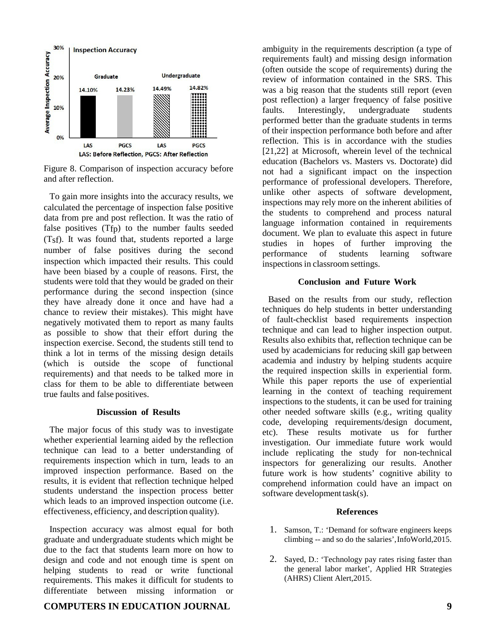

Figure 8. Comparison of inspection accuracy before and after reflection.

To gain more insights into the accuracy results, we calculated the percentage of inspection false positive data from pre and post reflection. It was the ratio of false positives (Tfp) to the number faults seeded (Tsf). It was found that, students reported a large number of false positives during the second inspection which impacted their results. This could have been biased by a couple of reasons. First, the students were told that they would be graded on their performance during the second inspection (since they have already done it once and have had a chance to review their mistakes). This might have negatively motivated them to report as many faults as possible to show that their effort during the inspection exercise. Second, the students still tend to think a lot in terms of the missing design details (which is outside the scope of functional requirements) and that needs to be talked more in class for them to be able to differentiate between true faults and false positives.

#### **Discussion of Results**

The major focus of this study was to investigate whether experiential learning aided by the reflection technique can lead to a better understanding of requirements inspection which in turn, leads to an improved inspection performance. Based on the results, it is evident that reflection technique helped students understand the inspection process better which leads to an improved inspection outcome (i.e. effectiveness, efficiency, and description quality).

Inspection accuracy was almost equal for both graduate and undergraduate students which might be due to the fact that students learn more on how to design and code and not enough time is spent on helping students to read or write functional requirements. This makes it difficult for students to differentiate between missing information or

## **COMPUTERS IN EDUCATION JOURNAL 9**

ambiguity in the requirements description (a type of requirements fault) and missing design information (often outside the scope of requirements) during the review of information contained in the SRS. This was a big reason that the students still report (even post reflection) a larger frequency of false positive faults. Interestingly, undergraduate students performed better than the graduate students in terms of their inspection performance both before and after reflection. This is in accordance with the studies [21,22] at Microsoft, wherein level of the technical education (Bachelors vs. Masters vs. Doctorate) did not had a significant impact on the inspection performance of professional developers. Therefore, unlike other aspects of software development, inspections may rely more on the inherent abilities of the students to comprehend and process natural language information contained in requirements document. We plan to evaluate this aspect in future studies in hopes of further improving the performance of students learning software performance of students learning inspections in classroom settings.

### **Conclusion and Future Work**

Based on the results from our study, reflection techniques do help students in better understanding of fault-checklist based requirements inspection technique and can lead to higher inspection output. Results also exhibits that, reflection technique can be used by academicians for reducing skill gap between academia and industry by helping students acquire the required inspection skills in experiential form. While this paper reports the use of experiential learning in the context of teaching requirement inspections to the students, it can be used for training other needed software skills (e.g., writing quality code, developing requirements/design document, etc). These results motivate us for further investigation. Our immediate future work would include replicating the study for non-technical inspectors for generalizing our results. Another future work is how students' cognitive ability to comprehend information could have an impact on software development task(s).

### **References**

- 1. Samson, T.: 'Demand for software engineers keeps climbing -- and so do the salaries',InfoWorld,2015.
- 2. Sayed, D.: 'Technology pay rates rising faster than the general labor market', Applied HR Strategies (AHRS) Client Alert,2015.